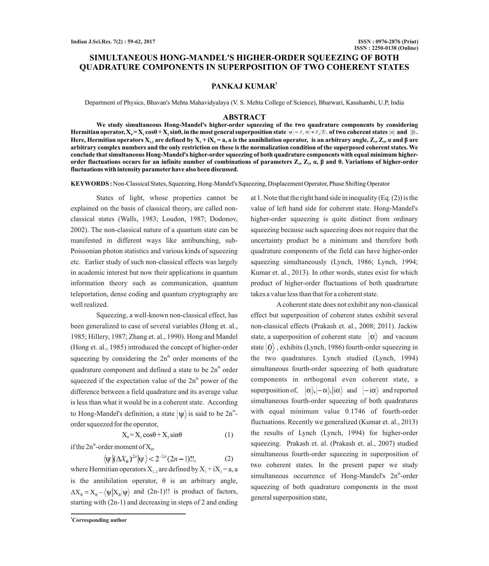# **SIMULTANEOUS HONG-MANDEL'S HIGHER-ORDER SQUEEZING OF BOTH QUADRATURE COMPONENTS IN SUPERPOSITION OF TWO COHERENT STATES**

## **1 PANKAJ KUMAR**

Department of Physics, Bhavan's Mehta Mahavidyalaya (V. S. Mehta College of Science), Bharwari, Kaushambi, U.P, India

## **ABSTRACT**

**We study simultaneous Hong-Mandel's higher-order squeezing of the two quadrature components by considering Hermitian operator,**  $X_0 = X_1 \cos\theta + X_2 \sin\theta$ **, in the most general superposition state**  $|\psi\rangle = Z_1 \alpha_1 + Z_2 |\beta\rangle$ **, of two coherent states**  $|\alpha\rangle$  **and**  $|\beta\rangle$ **.** Here, Hermitian operators  $X_{1,2}$  are defined by  $X_1 + iX_2 = a$ , a is the annihilation operator, is an arbitrary angle,  $Z_1, Z_2, \alpha$  and  $\beta$  are **arbitrary complex numbers and the only restriction on these is the normalization condition of the superposed coherent states. We conclude that simultaneous Hong-Mandel's higher-order squeezing of both quadrature components with equal minimum higher**order fluctuations occurs for an infinite number of combinations of parameters Ζ<sub>ι</sub>, Ζ<sub>2</sub>, α, β and θ. Variations of higher-order **fluctuations with intensity parameterhave also been discussed.** 

**KEYWORDS :** Non-Classical States, Squeezing, Hong-Mandel's Squeezing, Displacement Operator, Phase Shifting Operator

States of light, whose properties cannot be explained on the basis of classical theory, are called nonclassical states (Walls, 1983; Loudon, 1987; Dodonov, 2002). The non-classical nature of a quantum state can be manifested in different ways like antibunching, sub-Poissonian photon statistics and various kinds of squeezing etc. Earlier study of such non-classical effects was largely in academic interest but now their applications in quantum information theory such as communication, quantum teleportation, dense coding and quantum cryptography are well realized.

Squeezing, a well-known non-classical effect, has been generalized to case of several variables (Hong et. al., 1985; Hillery, 1987; Zhang et. al., 1990). Hong and Mandel (Hong et. al., 1985) introduced the concept of higher-order squeezing by considering the  $2n^{\pi}$  order moments of the quadrature component and defined a state to be  $2n^{\text{th}}$  order squeezed if the expectation value of the  $2n<sup>th</sup>$  power of the difference between a field quadrature and its average value is less than what it would be in a coherent state. According to Hong-Mandel's definition, a state  $|\psi\rangle$  is said to be 2n<sup>th</sup>order squeezed for the operator,

$$
X_{\theta} = X_1 \cos \theta + X_2 \sin \theta \tag{1}
$$

if the  $2n^{\text{th}}$ -order moment of  $X_{\theta}$ ,

$$
\langle \psi | (\Delta X_0)^{2n} | \psi \rangle < 2^{-2n} (2n-1)!!,
$$
 (2)

where Hermitian operators  $X_{1,2}$  are defined by  $X_1 + iX_2 = a$ , a is the annihilation operator,  $\theta$  is an arbitrary angle,  $\Delta X_{\rm e} = X_{\rm e} - \langle \psi | X_{\rm e} | \psi \rangle$  and (2n-1)!! is product of factors, starting with (2n-1) and decreasing in steps of 2 and ending

**<sup>1</sup>Corresponding author**

at 1. Note that the right hand side in inequality (Eq. (2)) is the value of left hand side for coherent state. Hong-Mandel's higher-order squeezing is quite distinct from ordinary squeezing because such squeezing does not require that the uncertainty product be a minimum and therefore both quadrature components of the field can have higher-order squeezing simultaneously (Lynch, 1986; Lynch, 1994; Kumar et. al., 2013). In other words, states exist for which product of higher-order fluctuations of both quadrarture takes a value less than that for a coherent state.

Acoherent state does not exhibit any non-classical effect but superposition of coherent states exhibit several non-classical effects (Prakash et. al., 2008; 2011). Jackiw state, a superposition of coherent state  $|\alpha\rangle$  and vacuum state  $|0\rangle$ , exhibits (Lynch, 1986) fourth-order squeezing in the two quadratures. Lynch studied (Lynch, 1994) simultaneous fourth-order squeezing of both quadrature components in orthogonal even coherent state, a superposition of,  $|\alpha\rangle, |-\alpha\rangle, |i\alpha\rangle$  and  $|-i\alpha\rangle$  and reported simultaneous fourth-order squeezing of both quadratures with equal minimum value 0.1746 of fourth-order fluctuations. Recently we generalized (Kumar et. al., 2013) the results of Lynch (Lynch, 1994) for higher-order squeezing. Prakash et. al. (Prakash et. al., 2007) studied simultaneous fourth-order squeezing in superposition of two coherent states. In the present paper we study simultaneous occurrence of Hong-Mandel's 2n<sup>th</sup>-order squeezing of both quadrature components in the most general superposition state,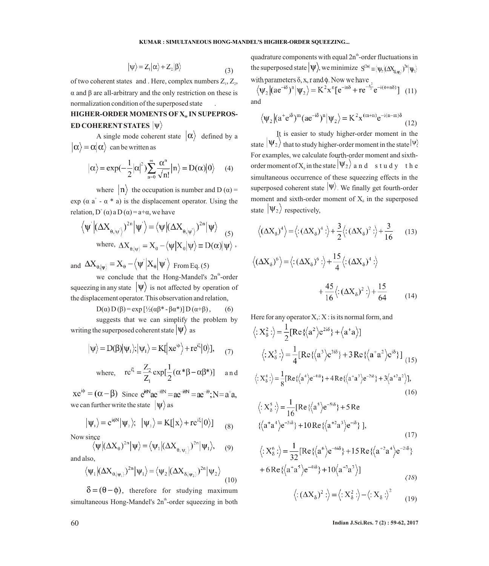$$
|\psi\rangle = Z_1|\alpha\rangle + Z_2|\beta\rangle \tag{3}
$$

of two coherent states and . Here, complex numbers  $Z_1, Z_2, Z_3$ α and β are all-arbitrary and the only restriction on these is normalization condition of the superposed state .

# **HIGHER-ORDER MOMENTS OF X IN SUPEPROS- <sup>Θ</sup> ED COHERENT STATES**  $|\psi\rangle$

A single mode coherent state  $|\alpha\rangle$  defined by a  $|\alpha\rangle = \alpha |\alpha\rangle$  can be written as

$$
|\alpha\rangle = \exp(-\frac{1}{2}|\alpha|^2)\sum_{n=0}^{\infty}\frac{\alpha^n}{\sqrt{n!}}|n\rangle = D(\alpha)|0\rangle \qquad (4)
$$

where  $\vert n \rangle$  the occupation is number and D ( $\alpha$ ) = exp ( $\alpha$  a<sup>+</sup> -  $\alpha$  \* a) is the displacement operator. Using the relation,  $D^{\dagger}(\alpha)$  a  $D(\alpha) = a+\alpha$ , we have

$$
\begin{aligned} \left\langle \psi^{'} \middle| (\Delta X_{\theta, \left| \psi^{'} \right.})^{2^n} \middle| \psi^{'} \right\rangle =& \left\langle \psi \middle| (\Delta X_{\theta, \left| \psi^{'} \right.})^{2^n} \middle| \psi \right\rangle \\ \text{where, } \Delta X_{\theta, \left| \psi \right.} &= X_{\theta} - \left\langle \psi \middle| X_{\theta} \middle| \psi \right\rangle \equiv D(\alpha) \middle| \psi \right\rangle, \end{aligned}
$$

and  $\Delta X_{\theta, |\psi\rangle} = X_{\theta} - \langle \psi | X_{\theta} | \psi' \rangle$  From Eq. (5)

we conclude that the Hong-Mandel's 2n<sup>th</sup>-order squeezing in any state  $|\Psi\rangle$  is not affected by operation of the displacement operator. This observation and relation,

$$
D(\alpha) D(\beta) = \exp [ \frac{1}{2} (\alpha \beta^* - \beta \alpha^*)] D(\alpha + \beta), \qquad (6)
$$

suggests that we can simplify the problem by writing the superposed coherent state  $|\Psi\rangle$  as

$$
|\psi\rangle = D(\beta)|\psi_1\rangle; |\psi_1\rangle = K[|xe^{i\phi}\rangle + re^{i\xi}|0\rangle], \qquad (7)
$$

where, 
$$
re^{i\xi} = \frac{Z_2}{Z_1} exp[\frac{1}{2}(\alpha * \beta - \alpha \beta *)]
$$
 and

 $xe^{i\phi} = (\alpha - \beta)$  Since  $e^{i\theta N}ae^{-i\theta N} = ae^{-i\theta}$ ;  $N = a^{\dagger}a$ , we can further write the state  $|\psi\rangle$  as

$$
|\psi_{1}\rangle = e^{i\phi N} |\psi_{2}\rangle; \ \ |\psi_{2}\rangle = K[|x\rangle + re^{i\xi}|0\rangle] \qquad (8)
$$

Now since

$$
\langle \psi | (\Delta X_{\theta})^{2n} | \psi \rangle = \langle \psi_1 | (\Delta X_{\theta | \psi_1})^{2n} | \psi_1 \rangle, \quad (9)
$$

and also,

$$
\langle \psi_1 | (\Delta X_{\theta, |\psi_1\rangle})^{2n} | \psi_1 \rangle = \langle \psi_2 | (\Delta X_{\delta, |\psi_2\rangle})^{2n} | \psi_2 \rangle
$$
\n(10)

 $\delta = (\theta - \phi)$ , therefore for studying maximum simultaneous Hong-Mandel's 2n<sup>th</sup>-order squeezing in both quadrature components with equal  $2n^{\text{th}}$ -order fluctuations in the superposed state  $|\Psi\rangle$ , we minimize with parameters  $\delta$ , x, r and  $\phi$ . Now we have

$$
\langle \psi_2 | (ae^{-i\delta})^n | \psi_2 \rangle = K^2 x^n [e^{-in\delta} + re^{-\frac{x^2}{2}} e^{-i(o+n\delta)}]
$$
 (11) and

$$
\langle \psi_2 | (a^+ e^{i\delta})^m (ae^{-i\delta})^n | \psi_2 \rangle = K^2 x^{(m+n)} e^{-i(n-m)\delta}
$$
\n(12)

It is easier to study higher-order moment in the state  $|\Psi_2\rangle$  that to study higher-order moment in the state  $|\Psi\rangle$ For examples, we calculate fourth-order moment and sixthorder moment of  $X_{\delta}$  in the state  $|\Psi_2\rangle$  and study the simultaneous occurrence of these squeezing effects in the superposed coherent state  $|\Psi\rangle$ . We finally get fourth-order moment and sixth-order moment of  $X_s$  in the superposed state  $|\Psi_2\rangle$  respectively.

$$
\langle (\Delta X_8)^4 \rangle = \langle : (\Delta X_8)^4 : \rangle + \frac{3}{2} \langle : (\Delta X_8)^2 : \rangle + \frac{3}{16}
$$
 (13)

$$
\langle (\Delta X_{\delta})^6 \rangle = \langle : (\Delta X_{\delta})^6 : \rangle + \frac{15}{4} \langle : (\Delta X_{\delta})^4 : \rangle
$$
  
 
$$
+ \frac{45}{16} \langle : (\Delta X_{\delta})^2 : \rangle + \frac{15}{64} \qquad (14)
$$

Here for any operator X,: X : is its normal form, and

$$
\langle : X_{\delta}^{2} : \rangle = \frac{1}{2} [\text{Re}\left\langle \langle a^{2} \rangle e^{2i\delta} \right\rangle + \langle a^{+}a \rangle] \n\langle : X_{\delta}^{3} : \rangle = \frac{1}{4} [\text{Re}\left\langle \langle a^{3} \rangle e^{3i\delta} \right\rangle + 3 \text{Re}\left\langle \langle a^{+}a^{2} \rangle e^{i\delta} \right\rangle] \right] (15) \n\langle : X_{\delta}^{4} : \rangle = \frac{1}{8} [\text{Re}\left\langle \langle a^{4} \rangle e^{-4i\delta} \right\rangle + 4 \text{Re}\left\langle \langle a^{+}a^{3} \rangle e^{-2i\delta} \right\rangle + 3 \langle a^{+2}a^{2} \rangle],
$$
\n(16)

$$
\langle : X_{\delta}^{5} : \rangle = \frac{1}{16} [\text{Re} \{ \langle a^{5} \rangle e^{-5i\delta} \} + 5 \text{ Re}
$$
  

$$
\{ \langle a^{+} a^{4} \rangle e^{-3i\delta} \} + 10 \text{Re} \{ \langle a^{+2} a^{3} \rangle e^{-i\delta} \} ],
$$
  
(17)

$$
\langle : X_{\delta}^6 : \rangle = \frac{1}{32} [\text{Re}\left\{ \left\langle a^6 \right\rangle e^{-6i\delta} \right\} + 15 \text{Re}\left\{ \left\langle a^{+2} a^4 \right\rangle e^{-2i\delta} \right\} + 6 \text{Re}\left\{ \left\langle a^+ a^5 \right\rangle e^{-4i\delta} \right\} + 10 \left\langle a^{+3} a^3 \right\rangle ]
$$
(18)

$$
\langle (\Delta X_{\delta})^2 : \rangle = \langle X_{\delta}^2 : \rangle - \langle X_{\delta} : \rangle^2 \qquad (19)
$$

60 **Indian J.Sci.Res. 7 (2) : 59-62, 2017**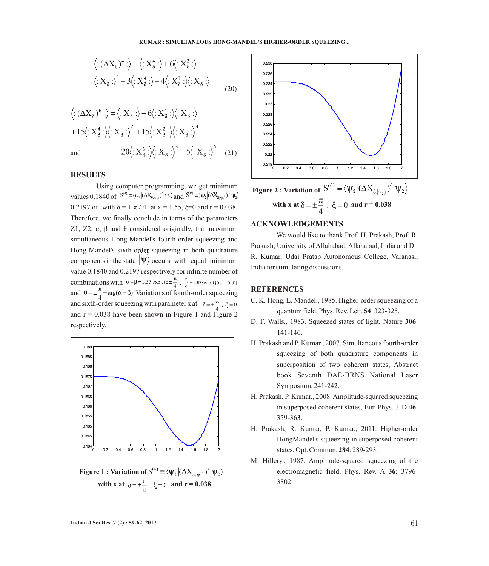#### **KUMAR : SIMULTANEOUS HONG-MANDEL'S HIGHER-ORDER SQUEEZING...**

$$
\langle :(\Delta X_{\delta})^4: \rangle = \langle :X_{\delta}^4: \rangle + 6\langle :X_{\delta}^2: \rangle
$$
  

$$
\langle :X_{\delta}: \rangle^2 - 3\langle :X_{\delta}^4: \rangle - 4\langle :X_{\delta}^3: \rangle\langle :X_{\delta}: \rangle
$$
  
(20)

$$
\langle :(\Delta X_{\delta})^6: \rangle = \langle :X_{\delta}^6: \rangle - 6\langle :X_{\delta}^5: \rangle \langle :X_{\delta}: \rangle
$$
  
+15 $\langle :X_{\delta}^4: \rangle \langle :X_{\delta}: \rangle^2 + 15\langle :X_{\delta}^2: \rangle \langle :X_{\delta}: \rangle^4$   
and 
$$
-20\langle :X_{\delta}^3: \rangle \langle :X_{\delta}: \rangle^3 - 5\langle :X_{\delta}: \rangle^6 \quad (21)
$$

## **RESULTS**

Using computer programming, we get minimum values 0.1840 of  $S^{(4)} \equiv \langle \psi_2 | (\Delta X_{\delta,\psi_2})^4 | \psi_2 \rangle$  and  $S^{(6)} \equiv \langle \psi_2 | (\Delta X_{\delta|\psi_2})^6 | \psi_2 \rangle$ 0.2197 of with  $\delta = \pm \pi / 4$  at x = 1.55,  $\xi = 0$  and r = 0.038. Therefore, we finally conclude in terms of the parameters Z1, Z2,  $\alpha$ , β and θ considered originally, that maximum simultaneous Hong-Mandel's fourth-order squeezing and Hong-Mandel's sixth-order squeezing in both quadrature components in the state  $|\Psi\rangle$  occurs with equal minimum value 0.1840 and 0.2197 respectively for infinite number of combinations with  $\alpha-\beta=1.55 \exp[i(\theta \pm \frac{\pi}{4})]\frac{Z_2}{7}=0.038 \exp[\frac{1}{2}(\alpha\beta-\alpha'\beta)]$ and  $\theta = \pm \frac{\pi}{4} + \arg(\alpha - \beta)$ . Variations of fourth-order squeezing and sixth-order squeezing with parameter x at  $\delta = \pm \frac{\pi}{4}$ ,  $\xi = 0$ and  $r = 0.038$  have been shown in Figure 1 and Figure 2 respectively.



**Figure 1 : Variation of S<sup>(4)</sup>**  $\equiv \langle \psi_2 | (\Delta X_{\delta | \psi_2})^4 | \psi_2 \rangle$ with x at  $\delta = \pm \frac{\pi}{4}$ ,  $\xi = 0$  and  $r = 0.038$ 



## **ACKNOWLEDGEMENTS**

We would like to thank Prof. H. Prakash, Prof. R. Prakash, University of Allahabad, Allahabad, India and Dr. R. Kumar, Udai Pratap Autonomous College, Varanasi, India for stimulating discussions.

## **REFERENCES**

- C. K. Hong, L. Mandel., 1985. Higher-order squeezing of a quantum field, Phys. Rev. Lett. **54**: 323-325.
- D. F. Walls., 1983. Squeezed states of light, Nature **306**: 141-146.
- H. Prakash and P. Kumar., 2007. Simultaneous fourth-order squeezing of both quadrature components in superposition of two coherent states, Abstract book Seventh DAE-BRNS National Laser Symposium, 241-242.
- H. Prakash, P. Kumar., 2008. Amplitude-squared squeezing in superposed coherent states, Eur. Phys. J. D **46**: 359-363.
- H. Prakash, R. Kumar, P. Kumar., 2011. Higher-order HongMandel's squeezing in superposed coherent states, Opt. Commun. **284**: 289-293.
- M. Hillery., 1987. Amplitude-squared squeezing of the electromagnetic field, Phys. Rev. A **36**: 3796- 3802.